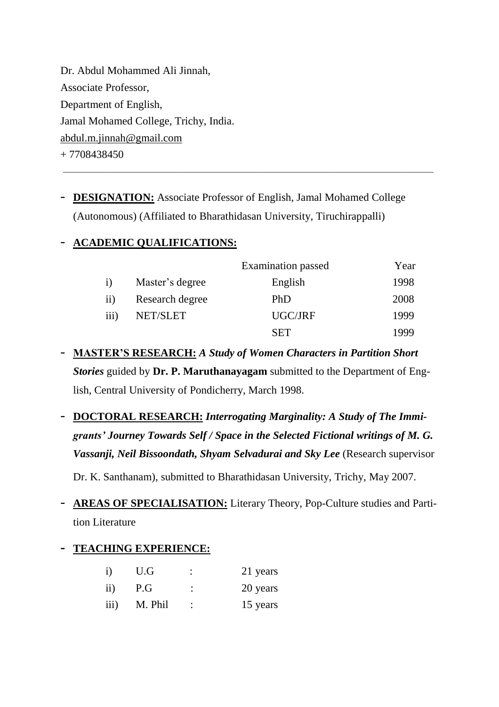Dr. Abdul Mohammed Ali Jinnah, Associate Professor, Department of English, Jamal Mohamed College, Trichy, India. [abdul.m.jinnah@gmail.com](mailto:abdul.m.jinnah@gmail.com)  $+ 7708438450$ 

- **DESIGNATION:** Associate Professor of English, Jamal Mohamed College (Autonomous) (Affiliated to Bharathidasan University, Tiruchirappalli)

 $\overline{\phantom{a}}$  , and the contribution of the contribution of  $\overline{\phantom{a}}$ 

## - **ACADEMIC QUALIFICATIONS:**

|      |                 | <b>Examination</b> passed | Year |
|------|-----------------|---------------------------|------|
|      | Master's degree | English                   | 1998 |
| 11)  | Research degree | PhD                       | 2008 |
| 111) | NET/SLET        | UGC/JRF                   | 1999 |
|      |                 | SET                       | 1999 |

- **MASTER'S RESEARCH:** *A Study of Women Characters in Partition Short Stories* guided by **Dr. P. Maruthanayagam** submitted to the Department of English, Central University of Pondicherry, March 1998.
- **DOCTORAL RESEARCH:** *Interrogating Marginality: A Study of The Immigrants' Journey Towards Self / Space in the Selected Fictional writings of M. G. Vassanji, Neil Bissoondath, Shyam Selvadurai and Sky Lee* (Research supervisor Dr. K. Santhanam), submitted to Bharathidasan University, Trichy, May 2007.
- **AREAS OF SPECIALISATION:** Literary Theory, Pop-Culture studies and Partition Literature

## **- TEACHING EXPERIENCE:**

| $\mathbf{i}$    | U.G     | 21 years |
|-----------------|---------|----------|
| $\overline{11}$ | P.G     | 20 years |
| iii)            | M. Phil | 15 years |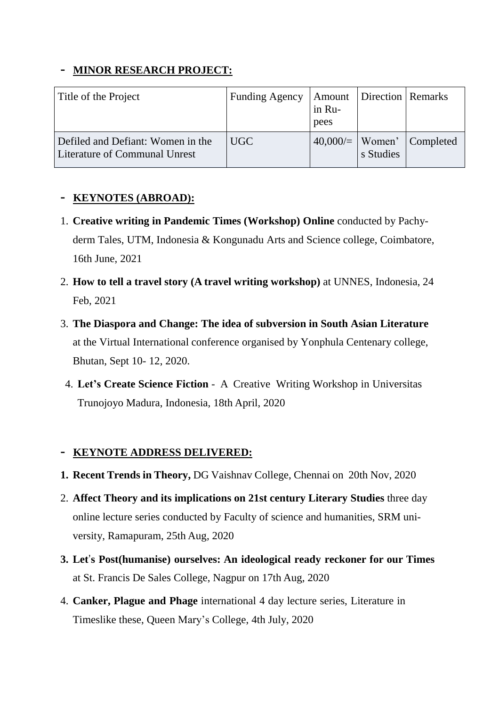#### **- MINOR RESEARCH PROJECT:**

| Title of the Project                                                      | <b>Funding Agency</b> | in Ru-<br>pees | <b>Amount Direction Remarks</b> |                                  |
|---------------------------------------------------------------------------|-----------------------|----------------|---------------------------------|----------------------------------|
| Defiled and Defiant: Women in the<br><b>Literature of Communal Unrest</b> | UGC                   |                | s Studies                       | $40,000/=\vert$ Women' Completed |

## **- KEYNOTES (ABROAD):**

- 1. **Creative writing in Pandemic Times (Workshop) Online** conducted by Pachyderm Tales, UTM, Indonesia & Kongunadu Arts and Science college, Coimbatore, 16th June, 2021
- 2. **How to tell a travel story (A travel writing workshop)** at UNNES, Indonesia, 24 Feb, 2021
- 3. **The Diaspora and Change: The idea of subversion in South Asian Literature** at the Virtual International conference organised by Yonphula Centenary college, Bhutan, Sept 10- 12, 2020.
- 4. **Let's Create Science Fiction** A Creative Writing Workshop in Universitas Trunojoyo Madura, Indonesia, 18th April, 2020

## **- KEYNOTE ADDRESS DELIVERED:**

- **1. Recent Trends in Theory,** DG Vaishnav College, Chennai on 20th Nov, 2020
- 2. **Affect Theory and its implications on 21st century Literary Studies** three day online lecture series conducted by Faculty of science and humanities, SRM university, Ramapuram, 25th Aug, 2020
- **3. Let**'**s Post(humanise) ourselves: An ideological ready reckoner for our Times** at St. Francis De Sales College, Nagpur on 17th Aug, 2020
- 4. **Canker, Plague and Phage** international 4 day lecture series, Literature in Timeslike these, Queen Mary's College, 4th July, 2020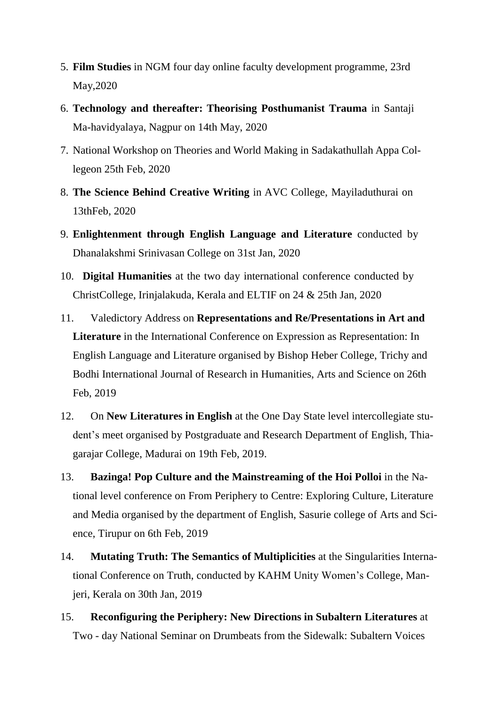- 5. **Film Studies** in NGM four day online faculty development programme, 23rd May,2020
- 6. **Technology and thereafter: Theorising Posthumanist Trauma** in Santaji Ma-havidyalaya, Nagpur on 14th May, 2020
- 7. National Workshop on Theories and World Making in Sadakathullah Appa Collegeon 25th Feb, 2020
- 8. **The Science Behind Creative Writing** in AVC College, Mayiladuthurai on 13thFeb, 2020
- 9. **Enlightenment through English Language and Literature** conducted by Dhanalakshmi Srinivasan College on 31st Jan, 2020
- 10. **Digital Humanities** at the two day international conference conducted by ChristCollege, Irinjalakuda, Kerala and ELTIF on 24 & 25th Jan, 2020
- 11. Valedictory Address on **Representations and Re/Presentations in Art and Literature** in the International Conference on Expression as Representation: In English Language and Literature organised by Bishop Heber College, Trichy and Bodhi International Journal of Research in Humanities, Arts and Science on 26th Feb, 2019
- 12. On **New Literatures in English** at the One Day State level intercollegiate student's meet organised by Postgraduate and Research Department of English, Thiagarajar College, Madurai on 19th Feb, 2019.
- 13. **Bazinga! Pop Culture and the Mainstreaming of the Hoi Polloi** in the National level conference on From Periphery to Centre: Exploring Culture, Literature and Media organised by the department of English, Sasurie college of Arts and Science, Tirupur on 6th Feb, 2019
- 14. **Mutating Truth: The Semantics of Multiplicities** at the Singularities International Conference on Truth, conducted by KAHM Unity Women's College, Manjeri, Kerala on 30th Jan, 2019
- 15. **Reconfiguring the Periphery: New Directions in Subaltern Literatures** at Two - day National Seminar on Drumbeats from the Sidewalk: Subaltern Voices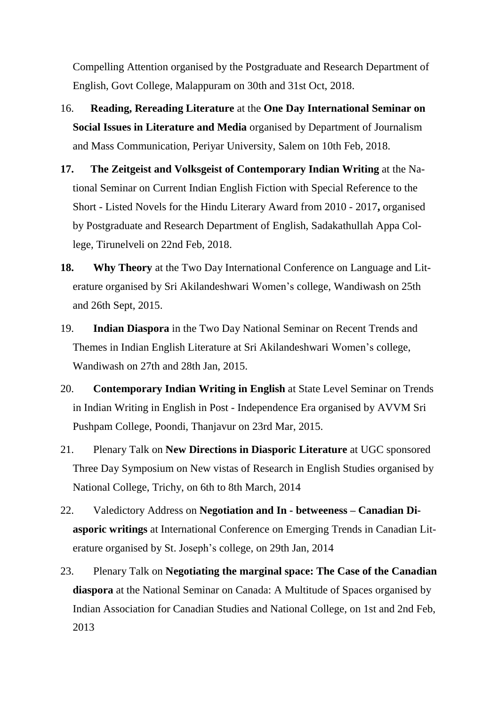Compelling Attention organised by the Postgraduate and Research Department of English, Govt College, Malappuram on 30th and 31st Oct, 2018.

- 16. **Reading, Rereading Literature** at the **One Day International Seminar on Social Issues in Literature and Media** organised by Department of Journalism and Mass Communication, Periyar University, Salem on 10th Feb, 2018.
- **17. The Zeitgeist and Volksgeist of Contemporary Indian Writing** at the National Seminar on Current Indian English Fiction with Special Reference to the Short - Listed Novels for the Hindu Literary Award from 2010 - 2017**,** organised by Postgraduate and Research Department of English, Sadakathullah Appa College, Tirunelveli on 22nd Feb, 2018.
- **18. Why Theory** at the Two Day International Conference on Language and Literature organised by Sri Akilandeshwari Women's college, Wandiwash on 25th and 26th Sept, 2015.
- 19. **Indian Diaspora** in the Two Day National Seminar on Recent Trends and Themes in Indian English Literature at Sri Akilandeshwari Women's college, Wandiwash on 27th and 28th Jan, 2015.
- 20. **Contemporary Indian Writing in English** at State Level Seminar on Trends in Indian Writing in English in Post - Independence Era organised by AVVM Sri Pushpam College, Poondi, Thanjavur on 23rd Mar, 2015.
- 21. Plenary Talk on **New Directions in Diasporic Literature** at UGC sponsored Three Day Symposium on New vistas of Research in English Studies organised by National College, Trichy, on 6th to 8th March, 2014
- 22. Valedictory Address on **Negotiation and In - betweeness – Canadian Diasporic writings** at International Conference on Emerging Trends in Canadian Literature organised by St. Joseph's college, on 29th Jan, 2014
- 23. Plenary Talk on **Negotiating the marginal space: The Case of the Canadian diaspora** at the National Seminar on Canada: A Multitude of Spaces organised by Indian Association for Canadian Studies and National College, on 1st and 2nd Feb, 2013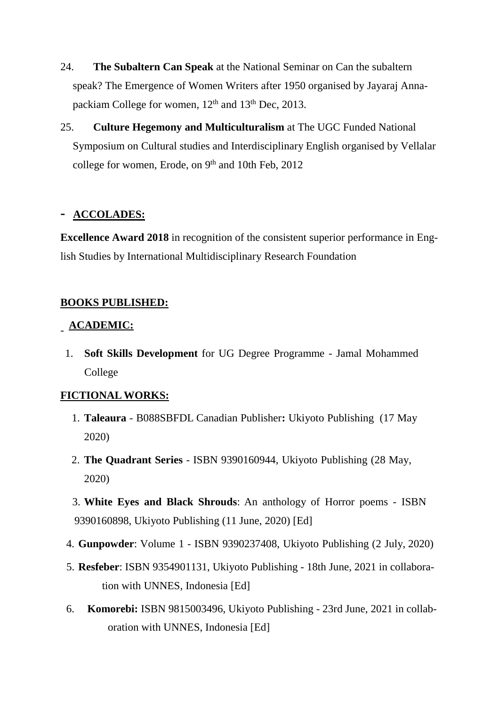- 24. **The Subaltern Can Speak** at the National Seminar on Can the subaltern speak? The Emergence of Women Writers after 1950 organised by Jayaraj Annapackiam College for women, 12<sup>th</sup> and 13<sup>th</sup> Dec, 2013.
- 25. **Culture Hegemony and Multiculturalism** at The UGC Funded National Symposium on Cultural studies and Interdisciplinary English organised by Vellalar college for women, Erode, on 9<sup>th</sup> and 10th Feb, 2012

#### **- ACCOLADES:**

**Excellence Award 2018** in recognition of the consistent superior performance in English Studies by International Multidisciplinary Research Foundation

## **BOOKS PUBLISHED:**

# - **ACADEMIC:**

1. **Soft Skills Development** for UG Degree Programme - Jamal Mohammed College

#### **FICTIONAL WORKS:**

- 1. **Taleaura** B088SBFDL Canadian Publisher**:** Ukiyoto Publishing (17 May 2020)
- 2. **The Quadrant Series** ISBN 9390160944, Ukiyoto Publishing (28 May, 2020)
- 3. **White Eyes and Black Shrouds**: An anthology of Horror poems ISBN 9390160898, Ukiyoto Publishing (11 June, 2020) [Ed]
- 4. **Gunpowder**: Volume 1 ISBN 9390237408, Ukiyoto Publishing (2 July, 2020)
- 5. **Resfeber**: ISBN 9354901131, Ukiyoto Publishing 18th June, 2021 in collaboration with UNNES, Indonesia [Ed]
- 6. **Komorebi:** ISBN 9815003496, Ukiyoto Publishing 23rd June, 2021 in collaboration with UNNES, Indonesia [Ed]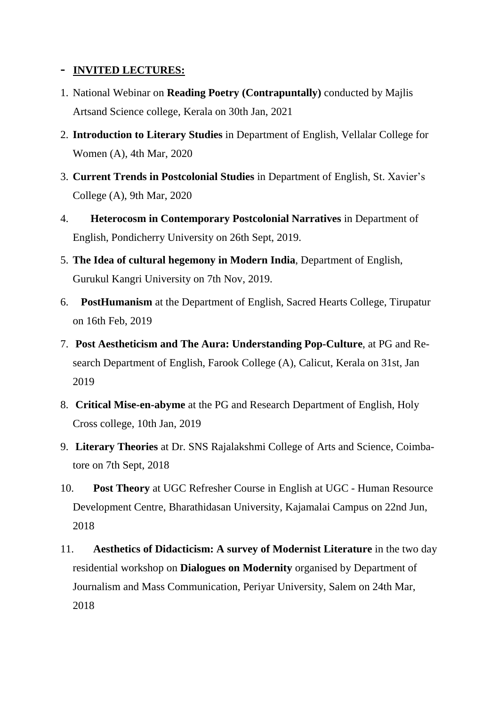#### **- INVITED LECTURES:**

- 1. National Webinar on **Reading Poetry (Contrapuntally)** conducted by Majlis Artsand Science college, Kerala on 30th Jan, 2021
- 2. **Introduction to Literary Studies** in Department of English, Vellalar College for Women (A), 4th Mar, 2020
- 3. **Current Trends in Postcolonial Studies** in Department of English, St. Xavier's College (A), 9th Mar, 2020
- 4. **Heterocosm in Contemporary Postcolonial Narratives** in Department of English, Pondicherry University on 26th Sept, 2019.
- 5. **The Idea of cultural hegemony in Modern India**, Department of English, Gurukul Kangri University on 7th Nov, 2019.
- 6. **PostHumanism** at the Department of English, Sacred Hearts College, Tirupatur on 16th Feb, 2019
- 7. **Post Aestheticism and The Aura: Understanding Pop-Culture**, at PG and Research Department of English, Farook College (A), Calicut, Kerala on 31st, Jan 2019
- 8. **Critical Mise-en-abyme** at the PG and Research Department of English, Holy Cross college, 10th Jan, 2019
- 9. **Literary Theories** at Dr. SNS Rajalakshmi College of Arts and Science, Coimbatore on 7th Sept, 2018
- 10. **Post Theory** at UGC Refresher Course in English at UGC Human Resource Development Centre, Bharathidasan University, Kajamalai Campus on 22nd Jun, 2018
- 11. **Aesthetics of Didacticism: A survey of Modernist Literature** in the two day residential workshop on **Dialogues on Modernity** organised by Department of Journalism and Mass Communication, Periyar University, Salem on 24th Mar, 2018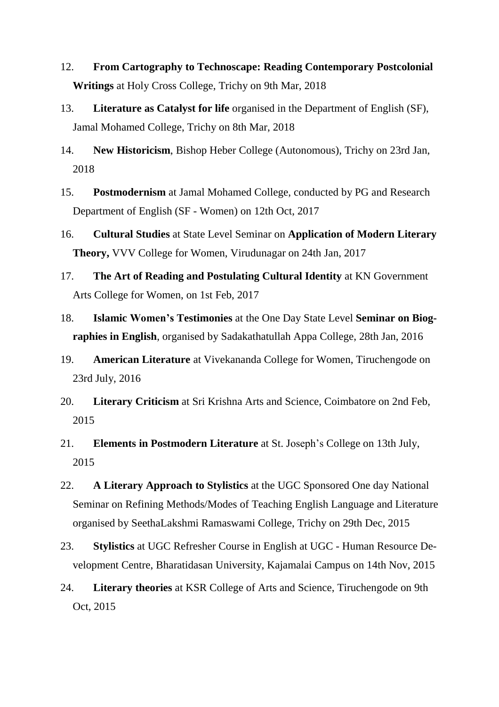- 12. **From Cartography to Technoscape: Reading Contemporary Postcolonial Writings** at Holy Cross College, Trichy on 9th Mar, 2018
- 13. **Literature as Catalyst for life** organised in the Department of English (SF), Jamal Mohamed College, Trichy on 8th Mar, 2018
- 14. **New Historicism**, Bishop Heber College (Autonomous), Trichy on 23rd Jan, 2018
- 15. **Postmodernism** at Jamal Mohamed College, conducted by PG and Research Department of English (SF - Women) on 12th Oct, 2017
- 16. **Cultural Studies** at State Level Seminar on **Application of Modern Literary Theory,** VVV College for Women, Virudunagar on 24th Jan, 2017
- 17. **The Art of Reading and Postulating Cultural Identity** at KN Government Arts College for Women, on 1st Feb, 2017
- 18. **Islamic Women's Testimonies** at the One Day State Level **Seminar on Biographies in English**, organised by Sadakathatullah Appa College, 28th Jan, 2016
- 19. **American Literature** at Vivekananda College for Women, Tiruchengode on 23rd July, 2016
- 20. **Literary Criticism** at Sri Krishna Arts and Science, Coimbatore on 2nd Feb, 2015
- 21. **Elements in Postmodern Literature** at St. Joseph's College on 13th July, 2015
- 22. **A Literary Approach to Stylistics** at the UGC Sponsored One day National Seminar on Refining Methods/Modes of Teaching English Language and Literature organised by SeethaLakshmi Ramaswami College, Trichy on 29th Dec, 2015
- 23. **Stylistics** at UGC Refresher Course in English at UGC Human Resource Development Centre, Bharatidasan University, Kajamalai Campus on 14th Nov, 2015
- 24. **Literary theories** at KSR College of Arts and Science, Tiruchengode on 9th Oct, 2015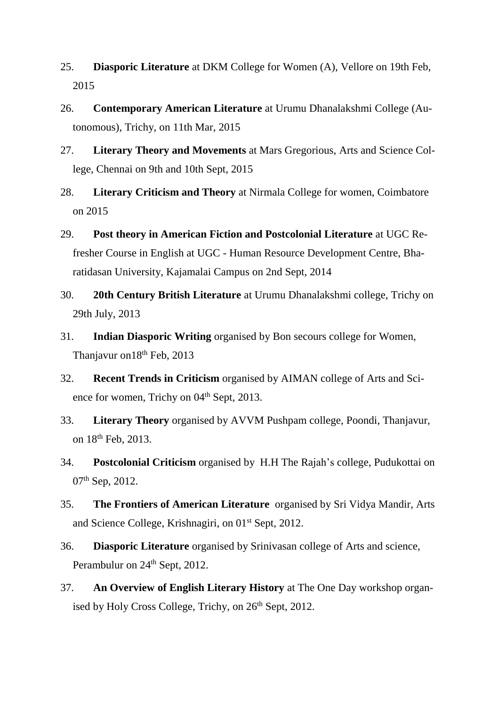- 25. **Diasporic Literature** at DKM College for Women (A), Vellore on 19th Feb, 2015
- 26. **Contemporary American Literature** at Urumu Dhanalakshmi College (Autonomous), Trichy, on 11th Mar, 2015
- 27. **Literary Theory and Movements** at Mars Gregorious, Arts and Science College, Chennai on 9th and 10th Sept, 2015
- 28. **Literary Criticism and Theory** at Nirmala College for women, Coimbatore on 2015
- 29. **Post theory in American Fiction and Postcolonial Literature** at UGC Refresher Course in English at UGC - Human Resource Development Centre, Bharatidasan University, Kajamalai Campus on 2nd Sept, 2014
- 30. **20th Century British Literature** at Urumu Dhanalakshmi college, Trichy on 29th July, 2013
- 31. **Indian Diasporic Writing** organised by Bon secours college for Women, Thanjavur on 18<sup>th</sup> Feb, 2013
- 32. **Recent Trends in Criticism** organised by AIMAN college of Arts and Science for women, Trichy on 04<sup>th</sup> Sept, 2013.
- 33. **Literary Theory** organised by AVVM Pushpam college, Poondi, Thanjavur, on 18th Feb, 2013.
- 34. **Postcolonial Criticism** organised by H.H The Rajah's college, Pudukottai on 07th Sep, 2012.
- 35. **The Frontiers of American Literature** organised by Sri Vidya Mandir, Arts and Science College, Krishnagiri, on 01<sup>st</sup> Sept, 2012.
- 36. **Diasporic Literature** organised by Srinivasan college of Arts and science, Perambulur on 24<sup>th</sup> Sept, 2012.
- 37. **An Overview of English Literary History** at The One Day workshop organised by Holy Cross College, Trichy, on  $26<sup>th</sup>$  Sept, 2012.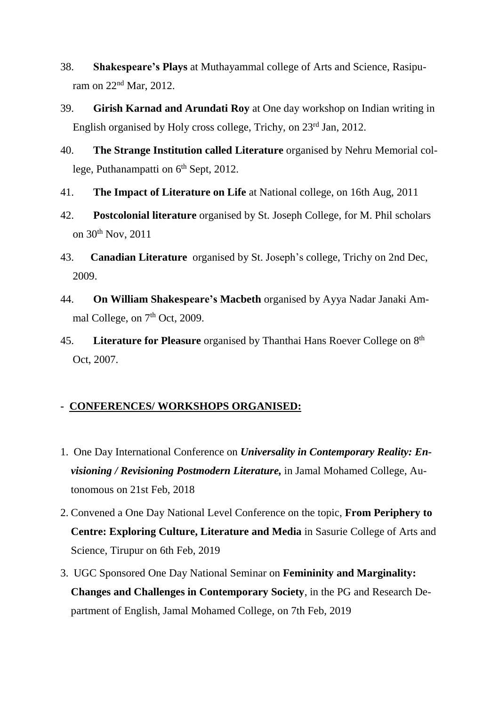- 38. **Shakespeare's Plays** at Muthayammal college of Arts and Science, Rasipuram on 22nd Mar, 2012.
- 39. **Girish Karnad and Arundati Roy** at One day workshop on Indian writing in English organised by Holy cross college, Trichy, on 23rd Jan, 2012.
- 40. **The Strange Institution called Literature** organised by Nehru Memorial college, Puthanampatti on 6<sup>th</sup> Sept, 2012.
- 41. **The Impact of Literature on Life** at National college, on 16th Aug, 2011
- 42. **Postcolonial literature** organised by St. Joseph College, for M. Phil scholars on 30<sup>th</sup> Nov, 2011
- 43. **Canadian Literature** organised by St. Joseph's college, Trichy on 2nd Dec, 2009.
- 44. **On William Shakespeare's Macbeth** organised by Ayya Nadar Janaki Ammal College, on 7<sup>th</sup> Oct, 2009.
- 45. **Literature for Pleasure** organised by Thanthai Hans Roever College on 8 th Oct, 2007.

#### **- CONFERENCES/ WORKSHOPS ORGANISED:**

- 1. One Day International Conference on *Universality in Contemporary Reality: Envisioning / Revisioning Postmodern Literature,* in Jamal Mohamed College, Autonomous on 21st Feb, 2018
- 2. Convened a One Day National Level Conference on the topic, **From Periphery to Centre: Exploring Culture, Literature and Media** in Sasurie College of Arts and Science, Tirupur on 6th Feb, 2019
- 3. UGC Sponsored One Day National Seminar on **Femininity and Marginality: Changes and Challenges in Contemporary Society**, in the PG and Research Department of English, Jamal Mohamed College, on 7th Feb, 2019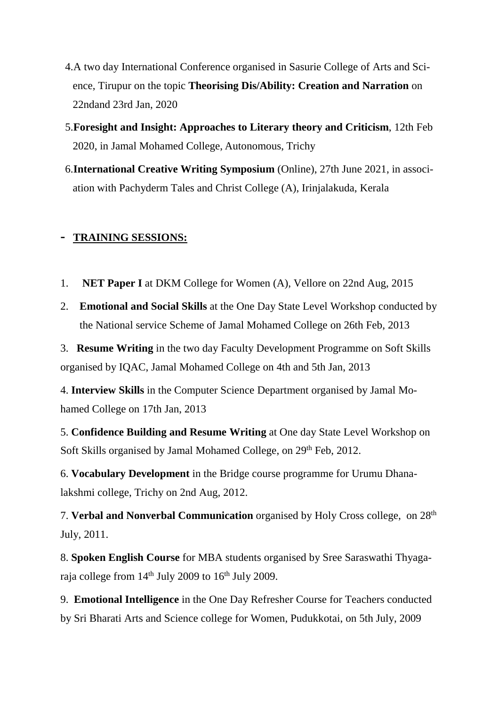- 4.A two day International Conference organised in Sasurie College of Arts and Science, Tirupur on the topic **Theorising Dis/Ability: Creation and Narration** on 22ndand 23rd Jan, 2020
- 5.**Foresight and Insight: Approaches to Literary theory and Criticism**, 12th Feb 2020, in Jamal Mohamed College, Autonomous, Trichy
- 6.**International Creative Writing Symposium** (Online), 27th June 2021, in association with Pachyderm Tales and Christ College (A), Irinjalakuda, Kerala

#### **- TRAINING SESSIONS:**

- 1. **NET Paper I** at DKM College for Women (A), Vellore on 22nd Aug, 2015
- 2. **Emotional and Social Skills** at the One Day State Level Workshop conducted by the National service Scheme of Jamal Mohamed College on 26th Feb, 2013
- 3. **Resume Writing** in the two day Faculty Development Programme on Soft Skills organised by IQAC, Jamal Mohamed College on 4th and 5th Jan, 2013

4. **Interview Skills** in the Computer Science Department organised by Jamal Mohamed College on 17th Jan, 2013

5. **Confidence Building and Resume Writing** at One day State Level Workshop on Soft Skills organised by Jamal Mohamed College, on 29<sup>th</sup> Feb, 2012.

6. **Vocabulary Development** in the Bridge course programme for Urumu Dhanalakshmi college, Trichy on 2nd Aug, 2012.

7. **Verbal and Nonverbal Communication** organised by Holy Cross college, on 28th July, 2011.

8. **Spoken English Course** for MBA students organised by Sree Saraswathi Thyagaraja college from 14th July 2009 to 16th July 2009.

9. **Emotional Intelligence** in the One Day Refresher Course for Teachers conducted by Sri Bharati Arts and Science college for Women, Pudukkotai, on 5th July, 2009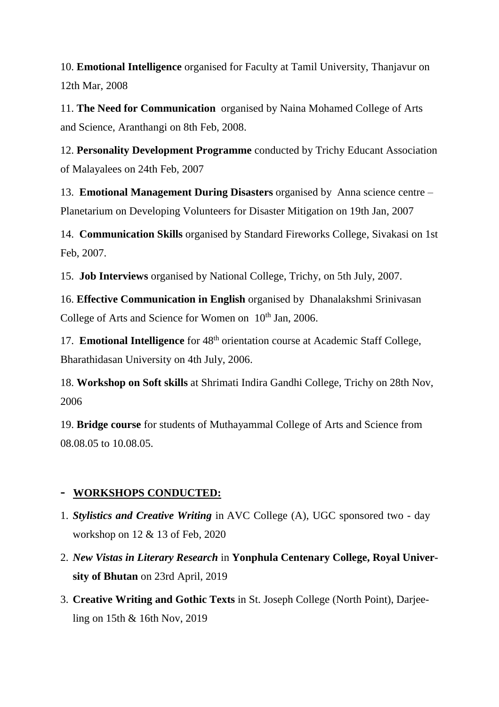10. **Emotional Intelligence** organised for Faculty at Tamil University, Thanjavur on 12th Mar, 2008

11. **The Need for Communication** organised by Naina Mohamed College of Arts and Science, Aranthangi on 8th Feb, 2008.

12. **Personality Development Programme** conducted by Trichy Educant Association of Malayalees on 24th Feb, 2007

13. **Emotional Management During Disasters** organised by Anna science centre – Planetarium on Developing Volunteers for Disaster Mitigation on 19th Jan, 2007

14. **Communication Skills** organised by Standard Fireworks College, Sivakasi on 1st Feb, 2007.

15. **Job Interviews** organised by National College, Trichy, on 5th July, 2007.

16. **Effective Communication in English** organised byDhanalakshmi Srinivasan College of Arts and Science for Women on 10<sup>th</sup> Jan, 2006.

17. **Emotional Intelligence** for 48th orientation course at Academic Staff College, Bharathidasan University on 4th July, 2006.

18. **Workshop on Soft skills** at Shrimati Indira Gandhi College, Trichy on 28th Nov, 2006

19. **Bridge course** for students of Muthayammal College of Arts and Science from 08.08.05 to 10.08.05.

## **- WORKSHOPS CONDUCTED:**

- 1. *Stylistics and Creative Writing* in AVC College (A), UGC sponsored two day workshop on 12 & 13 of Feb, 2020
- 2. *New Vistas in Literary Research* in **Yonphula Centenary College, Royal University of Bhutan** on 23rd April, 2019
- 3. **Creative Writing and Gothic Texts** in St. Joseph College (North Point), Darjeeling on 15th & 16th Nov, 2019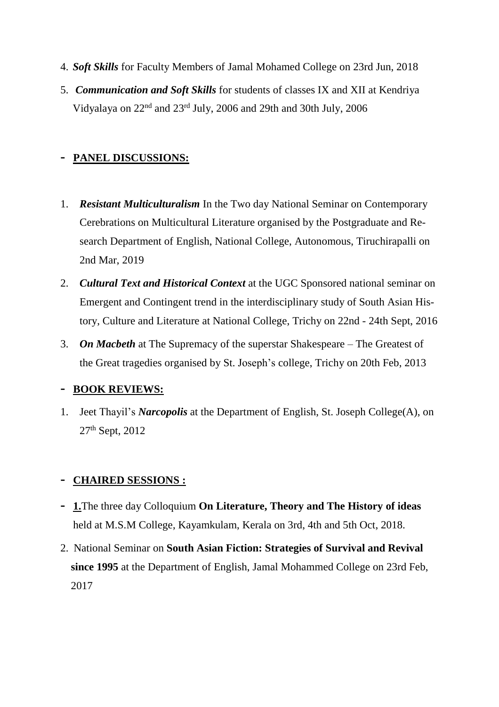- 4. *Soft Skills* for Faculty Members of Jamal Mohamed College on 23rd Jun, 2018
- 5. *Communication and Soft Skills* for students of classes IX and XII at Kendriya Vidyalaya on 22nd and 23rd July, 2006 and 29th and 30th July, 2006

## **- PANEL DISCUSSIONS:**

- 1. *Resistant Multiculturalism* In the Two day National Seminar on Contemporary Cerebrations on Multicultural Literature organised by the Postgraduate and Research Department of English, National College, Autonomous, Tiruchirapalli on 2nd Mar, 2019
- 2. *Cultural Text and Historical Context* at the UGC Sponsored national seminar on Emergent and Contingent trend in the interdisciplinary study of South Asian History, Culture and Literature at National College, Trichy on 22nd - 24th Sept, 2016
- 3. *On Macbeth* at The Supremacy of the superstar Shakespeare The Greatest of the Great tragedies organised by St. Joseph's college, Trichy on 20th Feb, 2013

## **- BOOK REVIEWS:**

1. Jeet Thayil's *Narcopolis* at the Department of English, St. Joseph College(A), on 27th Sept, 2012

## **- CHAIRED SESSIONS :**

- **- 1.**The three day Colloquium **On Literature, Theory and The History of ideas** held at M.S.M College, Kayamkulam, Kerala on 3rd, 4th and 5th Oct, 2018.
- 2. National Seminar on **South Asian Fiction: Strategies of Survival and Revival since 1995** at the Department of English, Jamal Mohammed College on 23rd Feb, 2017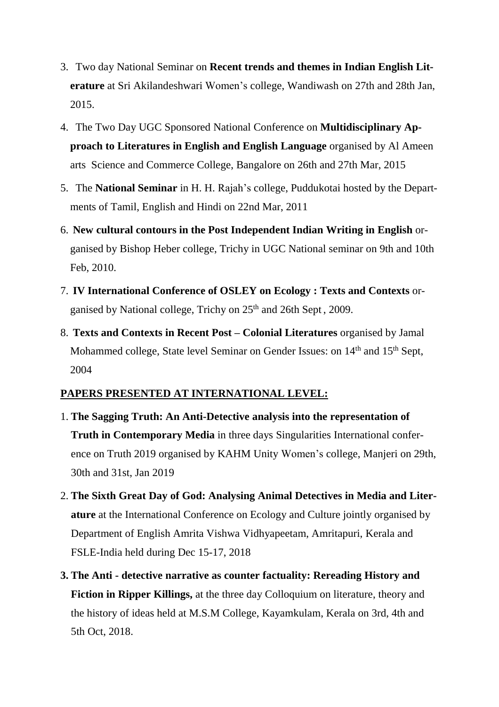- 3. Two day National Seminar on **Recent trends and themes in Indian English Literature** at Sri Akilandeshwari Women's college, Wandiwash on 27th and 28th Jan, 2015.
- 4. The Two Day UGC Sponsored National Conference on **Multidisciplinary Approach to Literatures in English and English Language** organised by Al Ameen arts Science and Commerce College, Bangalore on 26th and 27th Mar, 2015
- 5. The **National Seminar** in H. H. Rajah's college, Puddukotai hosted by the Departments of Tamil, English and Hindi on 22nd Mar, 2011
- 6. **New cultural contours in the Post Independent Indian Writing in English** organised by Bishop Heber college, Trichy in UGC National seminar on 9th and 10th Feb, 2010.
- 7. **IV International Conference of OSLEY on Ecology : Texts and Contexts** organised by National college, Trichy on 25<sup>th</sup> and 26th Sept, 2009.
- 8. **Texts and Contexts in Recent Post – Colonial Literatures** organised by Jamal Mohammed college, State level Seminar on Gender Issues: on 14<sup>th</sup> and 15<sup>th</sup> Sept, 2004

#### **PAPERS PRESENTED AT INTERNATIONAL LEVEL:**

- 1. **The Sagging Truth: An Anti-Detective analysis into the representation of Truth in Contemporary Media** in three days Singularities International conference on Truth 2019 organised by KAHM Unity Women's college, Manjeri on 29th, 30th and 31st, Jan 2019
- 2. **The Sixth Great Day of God: Analysing Animal Detectives in Media and Literature** at the International Conference on Ecology and Culture jointly organised by Department of English Amrita Vishwa Vidhyapeetam, Amritapuri, Kerala and FSLE-India held during Dec 15-17, 2018
- **3. The Anti - detective narrative as counter factuality: Rereading History and Fiction in Ripper Killings,** at the three day Colloquium on literature, theory and the history of ideas held at M.S.M College, Kayamkulam, Kerala on 3rd, 4th and 5th Oct, 2018.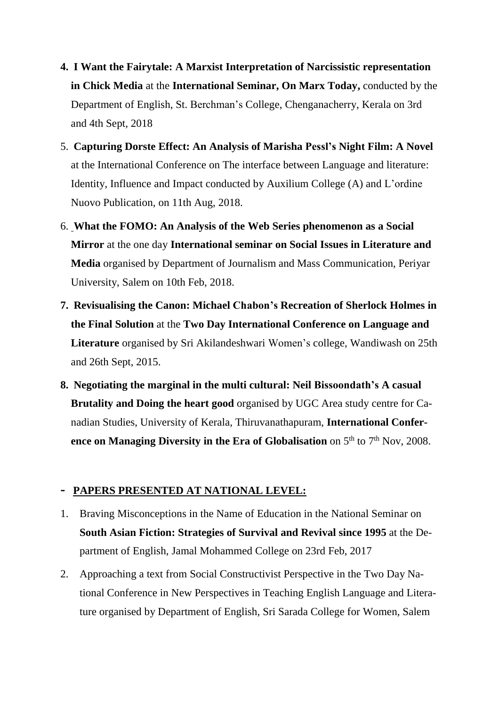- **4. I Want the Fairytale: A Marxist Interpretation of Narcissistic representation in Chick Media** at the **International Seminar, On Marx Today,** conducted by the Department of English, St. Berchman's College, Chenganacherry, Kerala on 3rd and 4th Sept, 2018
- 5. **Capturing Dorste Effect: An Analysis of Marisha Pessl's Night Film: A Novel** at the International Conference on The interface between Language and literature: Identity, Influence and Impact conducted by Auxilium College (A) and L'ordine Nuovo Publication, on 11th Aug, 2018.
- 6. **What the FOMO: An Analysis of the Web Series phenomenon as a Social Mirror** at the one day **International seminar on Social Issues in Literature and Media** organised by Department of Journalism and Mass Communication, Periyar University, Salem on 10th Feb, 2018.
- **7. Revisualising the Canon: Michael Chabon's Recreation of Sherlock Holmes in the Final Solution** at the **Two Day International Conference on Language and Literature** organised by Sri Akilandeshwari Women's college, Wandiwash on 25th and 26th Sept, 2015.
- **8. Negotiating the marginal in the multi cultural: Neil Bissoondath's A casual Brutality and Doing the heart good** organised by UGC Area study centre for Canadian Studies, University of Kerala, Thiruvanathapuram, **International Conference on Managing Diversity in the Era of Globalisation** on 5 th to 7 th Nov, 2008.

## **- PAPERS PRESENTED AT NATIONAL LEVEL:**

- 1. Braving Misconceptions in the Name of Education in the National Seminar on **South Asian Fiction: Strategies of Survival and Revival since 1995** at the Department of English, Jamal Mohammed College on 23rd Feb, 2017
- 2. Approaching a text from Social Constructivist Perspective in the Two Day National Conference in New Perspectives in Teaching English Language and Literature organised by Department of English, Sri Sarada College for Women, Salem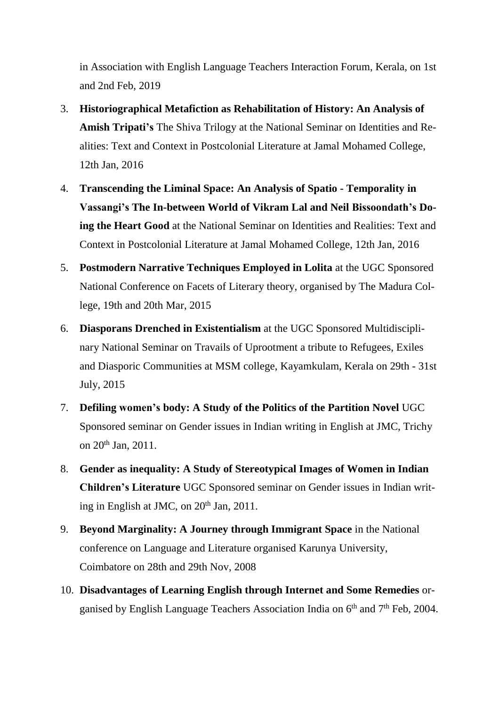in Association with English Language Teachers Interaction Forum, Kerala, on 1st and 2nd Feb, 2019

- 3. **Historiographical Metafiction as Rehabilitation of History: An Analysis of Amish Tripati's** The Shiva Trilogy at the National Seminar on Identities and Realities: Text and Context in Postcolonial Literature at Jamal Mohamed College, 12th Jan, 2016
- 4. **Transcending the Liminal Space: An Analysis of Spatio - Temporality in Vassangi's The In-between World of Vikram Lal and Neil Bissoondath's Doing the Heart Good** at the National Seminar on Identities and Realities: Text and Context in Postcolonial Literature at Jamal Mohamed College, 12th Jan, 2016
- 5. **Postmodern Narrative Techniques Employed in Lolita** at the UGC Sponsored National Conference on Facets of Literary theory, organised by The Madura College, 19th and 20th Mar, 2015
- 6. **Diasporans Drenched in Existentialism** at the UGC Sponsored Multidisciplinary National Seminar on Travails of Uprootment a tribute to Refugees, Exiles and Diasporic Communities at MSM college, Kayamkulam, Kerala on 29th - 31st July, 2015
- 7. **Defiling women's body: A Study of the Politics of the Partition Novel** UGC Sponsored seminar on Gender issues in Indian writing in English at JMC, Trichy on 20th Jan, 2011.
- 8. **Gender as inequality: A Study of Stereotypical Images of Women in Indian Children's Literature** UGC Sponsored seminar on Gender issues in Indian writing in English at JMC, on 20<sup>th</sup> Jan, 2011.
- 9. **Beyond Marginality: A Journey through Immigrant Space** in the National conference on Language and Literature organised Karunya University, Coimbatore on 28th and 29th Nov, 2008
- 10. **Disadvantages of Learning English through Internet and Some Remedies** organised by English Language Teachers Association India on 6<sup>th</sup> and 7<sup>th</sup> Feb, 2004.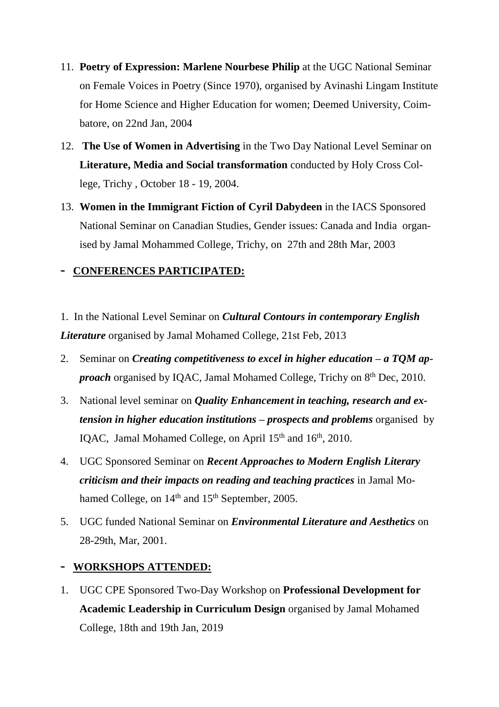- 11. **Poetry of Expression: Marlene Nourbese Philip** at the UGC National Seminar on Female Voices in Poetry (Since 1970), organised by Avinashi Lingam Institute for Home Science and Higher Education for women; Deemed University, Coimbatore, on 22nd Jan, 2004
- 12. **The Use of Women in Advertising** in the Two Day National Level Seminar on **Literature, Media and Social transformation** conducted by Holy Cross College, Trichy , October 18 - 19, 2004.
- 13. **Women in the Immigrant Fiction of Cyril Dabydeen** in the IACS Sponsored National Seminar on Canadian Studies, Gender issues: Canada and India organised by Jamal Mohammed College, Trichy, on 27th and 28th Mar, 2003

#### **- CONFERENCES PARTICIPATED:**

- 1. In the National Level Seminar on *Cultural Contours in contemporary English Literature* organised by Jamal Mohamed College, 21st Feb, 2013
- 2. Seminar on *Creating competitiveness to excel in higher education – a TQM ap*proach organised by IQAC, Jamal Mohamed College, Trichy on 8<sup>th</sup> Dec, 2010.
- 3. National level seminar on *Quality Enhancement in teaching, research and extension in higher education institutions – prospects and problems* organised by IQAC, Jamal Mohamed College, on April 15<sup>th</sup> and 16<sup>th</sup>, 2010.
- 4. UGC Sponsored Seminar on *Recent Approaches to Modern English Literary criticism and their impacts on reading and teaching practices* in Jamal Mohamed College, on 14<sup>th</sup> and 15<sup>th</sup> September, 2005.
- 5. UGC funded National Seminar on *Environmental Literature and Aesthetics* on 28-29th, Mar, 2001.

## **- WORKSHOPS ATTENDED:**

1. UGC CPE Sponsored Two-Day Workshop on **Professional Development for Academic Leadership in Curriculum Design** organised by Jamal Mohamed College, 18th and 19th Jan, 2019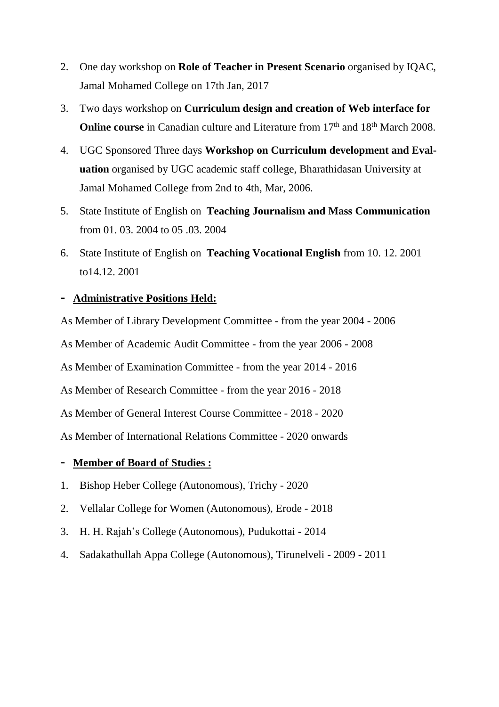- 2. One day workshop on **Role of Teacher in Present Scenario** organised by IQAC, Jamal Mohamed College on 17th Jan, 2017
- 3. Two days workshop on **Curriculum design and creation of Web interface for Online course** in Canadian culture and Literature from 17<sup>th</sup> and 18<sup>th</sup> March 2008.
- 4. UGC Sponsored Three days **Workshop on Curriculum development and Evaluation** organised by UGC academic staff college, Bharathidasan University at Jamal Mohamed College from 2nd to 4th, Mar, 2006.
- 5. State Institute of English on **Teaching Journalism and Mass Communication** from 01. 03. 2004 to 05 .03. 2004
- 6. State Institute of English on **Teaching Vocational English** from 10. 12. 2001 to14.12. 2001

#### **- Administrative Positions Held:**

As Member of Library Development Committee - from the year 2004 - 2006 As Member of Academic Audit Committee - from the year 2006 - 2008 As Member of Examination Committee - from the year 2014 - 2016 As Member of Research Committee - from the year 2016 - 2018 As Member of General Interest Course Committee - 2018 - 2020 As Member of International Relations Committee - 2020 onwards

- **- Member of Board of Studies :**
- 1. Bishop Heber College (Autonomous), Trichy 2020
- 2. Vellalar College for Women (Autonomous), Erode 2018
- 3. H. H. Rajah's College (Autonomous), Pudukottai 2014
- 4. Sadakathullah Appa College (Autonomous), Tirunelveli 2009 2011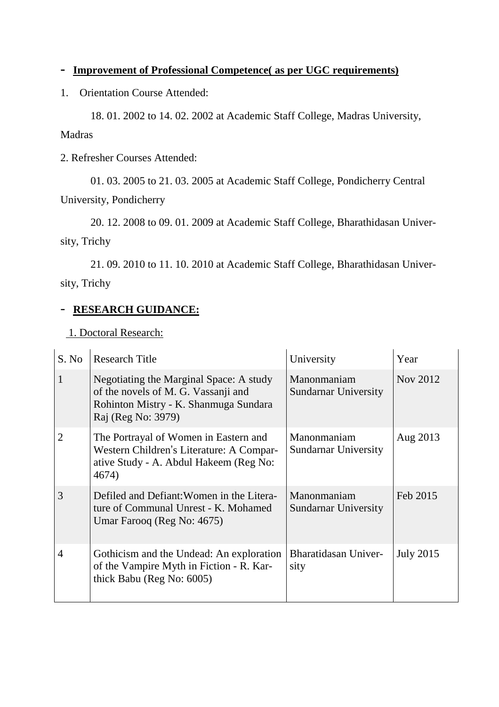## **- Improvement of Professional Competence( as per UGC requirements)**

1. Orientation Course Attended:

18. 01. 2002 to 14. 02. 2002 at Academic Staff College, Madras University, Madras

2. Refresher Courses Attended:

01. 03. 2005 to 21. 03. 2005 at Academic Staff College, Pondicherry Central University, Pondicherry

20. 12. 2008 to 09. 01. 2009 at Academic Staff College, Bharathidasan University, Trichy

21. 09. 2010 to 11. 10. 2010 at Academic Staff College, Bharathidasan University, Trichy

## - **RESEARCH GUIDANCE:**

1. Doctoral Research:

| S. No                       | <b>Research Title</b>                                                                                                                         | University                                 | Year             |
|-----------------------------|-----------------------------------------------------------------------------------------------------------------------------------------------|--------------------------------------------|------------------|
|                             | Negotiating the Marginal Space: A study<br>of the novels of M. G. Vassanji and<br>Rohinton Mistry - K. Shanmuga Sundara<br>Raj (Reg No: 3979) | Manonmaniam<br><b>Sundarnar University</b> | Nov 2012         |
| $\mathcal{D}_{\mathcal{L}}$ | The Portrayal of Women in Eastern and<br>Western Children's Literature: A Compar-<br>ative Study - A. Abdul Hakeem (Reg No:<br>4674)          | Manonmaniam<br><b>Sundarnar University</b> | Aug 2013         |
| 3                           | Defiled and Defiant: Women in the Litera-<br>ture of Communal Unrest - K. Mohamed<br>Umar Farooq (Reg No: 4675)                               | Manonmaniam<br>Sundarnar University        | Feb 2015         |
| 4                           | Gothicism and the Undead: An exploration<br>of the Vampire Myth in Fiction - R. Kar-<br>thick Babu (Reg No: 6005)                             | <b>Bharatidasan Univer-</b><br>sity        | <b>July 2015</b> |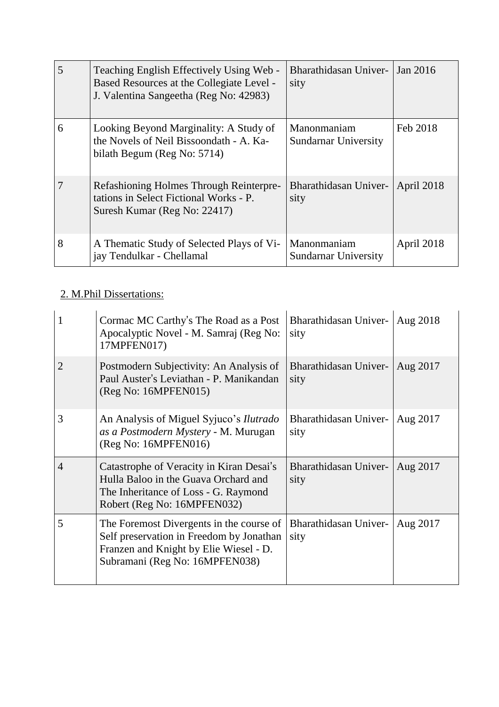| 5 | Teaching English Effectively Using Web -<br>Based Resources at the Collegiate Level -<br>J. Valentina Sangeetha (Reg No: 42983) | Bharathidasan Univer-<br>sity              | Jan 2016   |
|---|---------------------------------------------------------------------------------------------------------------------------------|--------------------------------------------|------------|
| 6 | Looking Beyond Marginality: A Study of<br>the Novels of Neil Bissoondath - A. Ka-<br>bilath Begum (Reg No: 5714)                | Manonmaniam<br><b>Sundarnar University</b> | Feb 2018   |
|   | Refashioning Holmes Through Reinterpre-<br>tations in Select Fictional Works - P.<br>Suresh Kumar (Reg No: 22417)               | Bharathidasan Univer-<br>sity              | April 2018 |
| 8 | A Thematic Study of Selected Plays of Vi-<br>jay Tendulkar - Chellamal                                                          | Manonmaniam<br>Sundarnar University        | April 2018 |

# 2. M.Phil Dissertations:

| 1              | Cormac MC Carthy's The Road as a Post<br>Apocalyptic Novel - M. Samraj (Reg No:<br>17MPFEN017)                                                                   | Bharathidasan Univer-<br>sity | Aug 2018 |
|----------------|------------------------------------------------------------------------------------------------------------------------------------------------------------------|-------------------------------|----------|
| 2              | Postmodern Subjectivity: An Analysis of<br>Paul Auster's Leviathan - P. Manikandan<br>(Reg No: 16MPFEN015)                                                       | Bharathidasan Univer-<br>sity | Aug 2017 |
| 3              | An Analysis of Miguel Syjuco's <i>Ilutrado</i><br>as a Postmodern Mystery - M. Murugan<br>(Reg No: 16MPFEN016)                                                   | Bharathidasan Univer-<br>sity | Aug 2017 |
| $\overline{4}$ | Catastrophe of Veracity in Kiran Desai's<br>Hulla Baloo in the Guava Orchard and<br>The Inheritance of Loss - G. Raymond<br>Robert (Reg No: 16MPFEN032)          | Bharathidasan Univer-<br>sity | Aug 2017 |
| 5              | The Foremost Divergents in the course of<br>Self preservation in Freedom by Jonathan<br>Franzen and Knight by Elie Wiesel - D.<br>Subramani (Reg No: 16MPFEN038) | Bharathidasan Univer-<br>sity | Aug 2017 |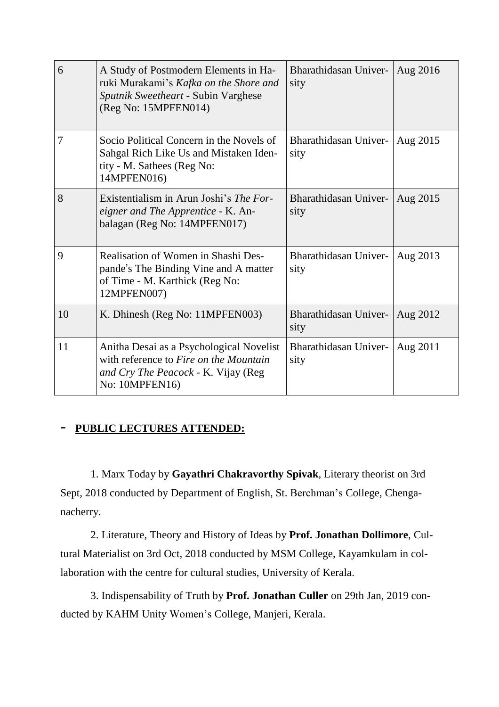| 6  | A Study of Postmodern Elements in Ha-<br>ruki Murakami's Kafka on the Shore and<br>Sputnik Sweetheart - Subin Varghese<br>(Reg No: 15MPFEN014)       | Bharathidasan Univer-<br>sity | Aug 2016 |
|----|------------------------------------------------------------------------------------------------------------------------------------------------------|-------------------------------|----------|
| 7  | Socio Political Concern in the Novels of<br>Sahgal Rich Like Us and Mistaken Iden-<br>tity - M. Sathees (Reg No:<br>14MPFEN016)                      | Bharathidasan Univer-<br>sity | Aug 2015 |
| 8  | Existentialism in Arun Joshi's <i>The For-</i><br>eigner and The Apprentice - K. An-<br>balagan (Reg No: 14MPFEN017)                                 | Bharathidasan Univer-<br>sity | Aug 2015 |
| 9  | Realisation of Women in Shashi Des-<br>pande's The Binding Vine and A matter<br>of Time - M. Karthick (Reg No:<br>12MPFEN007)                        | Bharathidasan Univer-<br>sity | Aug 2013 |
| 10 | K. Dhinesh (Reg No: 11MPFEN003)                                                                                                                      | Bharathidasan Univer-<br>sity | Aug 2012 |
| 11 | Anitha Desai as a Psychological Novelist<br>with reference to <i>Fire on the Mountain</i><br>and Cry The Peacock - K. Vijay (Reg.<br>No: $10MPFEN16$ | Bharathidasan Univer-<br>sity | Aug 2011 |

#### - **PUBLIC LECTURES ATTENDED:**

1. Marx Today by **Gayathri Chakravorthy Spivak**, Literary theorist on 3rd Sept, 2018 conducted by Department of English, St. Berchman's College, Chenganacherry.

2. Literature, Theory and History of Ideas by **Prof. Jonathan Dollimore**, Cultural Materialist on 3rd Oct, 2018 conducted by MSM College, Kayamkulam in collaboration with the centre for cultural studies, University of Kerala.

3. Indispensability of Truth by **Prof. Jonathan Culler** on 29th Jan, 2019 conducted by KAHM Unity Women's College, Manjeri, Kerala.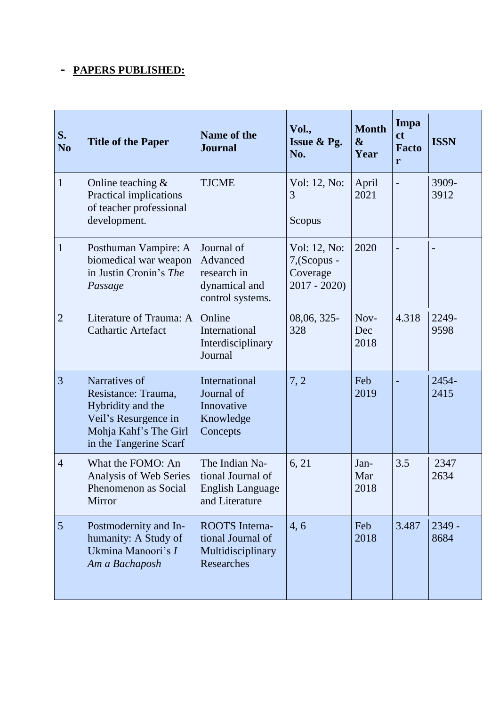# **- PAPERS PUBLISHED:**

| S.<br>N <sub>0</sub> | <b>Title of the Paper</b>                                                                                                            | <b>Name of the</b><br><b>Journal</b>                                             | Vol.,<br>Issue & Pg.<br>No.                               | <b>Month</b><br>$\boldsymbol{\&}$<br>Year | Impa<br>ct<br><b>Facto</b><br>r | <b>ISSN</b>    |
|----------------------|--------------------------------------------------------------------------------------------------------------------------------------|----------------------------------------------------------------------------------|-----------------------------------------------------------|-------------------------------------------|---------------------------------|----------------|
| $\mathbf{1}$         | Online teaching $&$<br>Practical implications<br>of teacher professional<br>development.                                             | <b>TJCME</b>                                                                     | Vol: 12, No:<br>3<br>Scopus                               | April<br>2021                             |                                 | 3909-<br>3912  |
| $\mathbf 1$          | Posthuman Vampire: A<br>biomedical war weapon<br>in Justin Cronin's The<br>Passage                                                   | Journal of<br>Advanced<br>research in<br>dynamical and<br>control systems.       | Vol: 12, No:<br>7, (Scopus -<br>Coverage<br>$2017 - 2020$ | 2020                                      |                                 |                |
| $\overline{2}$       | Literature of Trauma: A<br><b>Cathartic Artefact</b>                                                                                 | Online<br>International<br>Interdisciplinary<br>Journal                          | 08,06, 325-<br>328                                        | Nov-<br>Dec<br>2018                       | 4.318                           | 2249-<br>9598  |
| 3                    | Narratives of<br>Resistance: Trauma,<br>Hybridity and the<br>Veil's Resurgence in<br>Mohja Kahf's The Girl<br>in the Tangerine Scarf | International<br>Journal of<br>Innovative<br>Knowledge<br>Concepts               | 7, 2                                                      | Feb<br>2019                               |                                 | 2454-<br>2415  |
| $\overline{4}$       | What the FOMO: An<br>Analysis of Web Series<br>Phenomenon as Social<br>Mirror                                                        | The Indian Na-<br>tional Journal of<br><b>English Language</b><br>and Literature | 6, 21                                                     | Jan-<br>Mar<br>2018                       | 3.5                             | 2347<br>2634   |
| 5                    | Postmodernity and In-<br>humanity: A Study of<br>Ukmina Manoori's I<br>Am a Bachaposh                                                | <b>ROOTS</b> Interna-<br>tional Journal of<br>Multidisciplinary<br>Researches    | 4,6                                                       | Feb<br>2018                               | 3.487                           | 2349 -<br>8684 |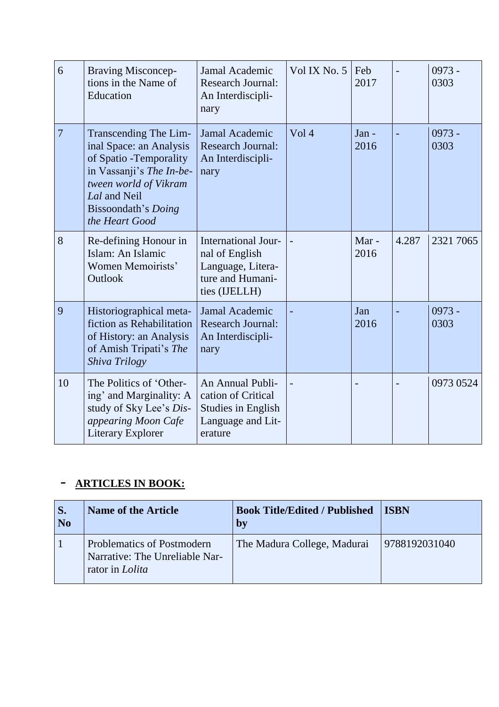| 6  | <b>Braving Misconcep-</b><br>tions in the Name of<br>Education                                                                                                                            | Jamal Academic<br><b>Research Journal:</b><br>An Interdiscipli-<br>nary                             | Vol IX No. 5 | Feb<br>2017     |       | $0973 -$<br>0303 |
|----|-------------------------------------------------------------------------------------------------------------------------------------------------------------------------------------------|-----------------------------------------------------------------------------------------------------|--------------|-----------------|-------|------------------|
| 7  | Transcending The Lim-<br>inal Space: an Analysis<br>of Spatio - Temporality<br>in Vassanji's The In-be-<br>tween world of Vikram<br>Lal and Neil<br>Bissoondath's Doing<br>the Heart Good | Jamal Academic<br><b>Research Journal:</b><br>An Interdiscipli-<br>nary                             | Vol 4        | $Jan -$<br>2016 |       | $0973 -$<br>0303 |
| 8  | Re-defining Honour in<br>Islam: An Islamic<br>Women Memoirists'<br>Outlook                                                                                                                | International Jour-<br>nal of English<br>Language, Litera-<br>ture and Humani-<br>ties (IJELLH)     |              | Mar-<br>2016    | 4.287 | 2321 7065        |
| 9  | Historiographical meta-<br>fiction as Rehabilitation<br>of History: an Analysis<br>of Amish Tripati's The<br>Shiva Trilogy                                                                | Jamal Academic<br><b>Research Journal:</b><br>An Interdiscipli-<br>nary                             |              | Jan<br>2016     |       | $0973 -$<br>0303 |
| 10 | The Politics of 'Other-<br>ing' and Marginality: A<br>study of Sky Lee's Dis-<br>appearing Moon Cafe<br><b>Literary Explorer</b>                                                          | An Annual Publi-<br>cation of Critical<br><b>Studies in English</b><br>Language and Lit-<br>erature |              |                 |       | 0973 0524        |

# - **ARTICLES IN BOOK:**

| S.<br>N <sub>0</sub> | <b>Name of the Article</b>                                                             | <b>Book Title/Edited / Published</b><br>by | <b>ISBN</b>   |
|----------------------|----------------------------------------------------------------------------------------|--------------------------------------------|---------------|
|                      | Problematics of Postmodern<br>Narrative: The Unreliable Nar-<br>rator in <i>Lolita</i> | The Madura College, Madurai                | 9788192031040 |